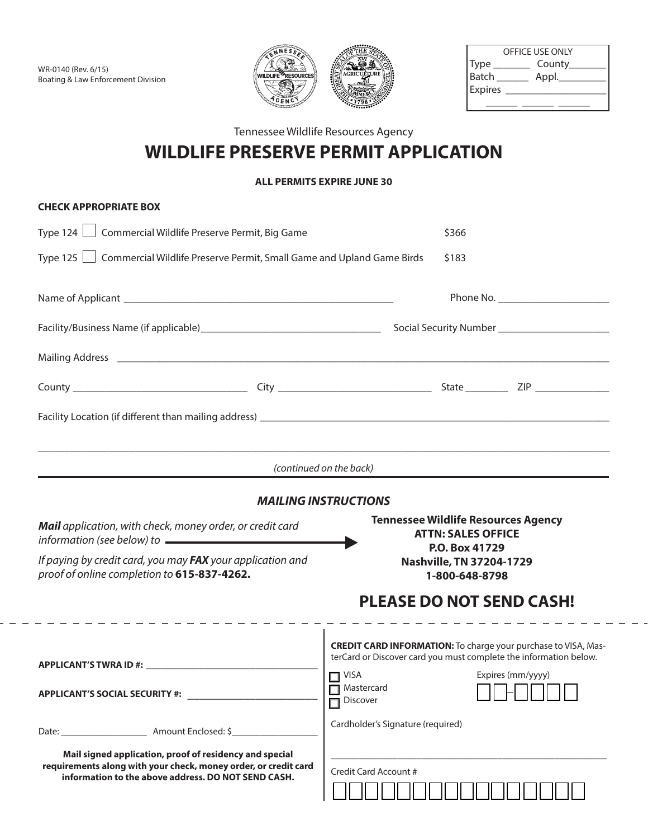

| OFFICE USE ONLY |        |  |  |
|-----------------|--------|--|--|
| <b>Type</b>     | County |  |  |
| <b>Batch</b>    | Appl.  |  |  |
| <b>Expires</b>  |        |  |  |
|                 |        |  |  |

## Tennessee Wildlife Resources Agency

## **WILDLIFE PRESERVE PERMIT APPLICATION**

## **ALL PERMITS EXPIRE JUNE 30**

| <b>CHECK APPROPRIATE BOX</b>                                                                                                                                                      |                                                                                                                                                                             |  |  |  |  |
|-----------------------------------------------------------------------------------------------------------------------------------------------------------------------------------|-----------------------------------------------------------------------------------------------------------------------------------------------------------------------------|--|--|--|--|
| Commercial Wildlife Preserve Permit, Big Game<br>Type $124$ $\Box$                                                                                                                | \$366                                                                                                                                                                       |  |  |  |  |
| Type 125   Commercial Wildlife Preserve Permit, Small Game and Upland Game Birds                                                                                                  | \$183                                                                                                                                                                       |  |  |  |  |
|                                                                                                                                                                                   | Phone No.                                                                                                                                                                   |  |  |  |  |
|                                                                                                                                                                                   |                                                                                                                                                                             |  |  |  |  |
|                                                                                                                                                                                   |                                                                                                                                                                             |  |  |  |  |
| County Wilson                                                                                                                                                                     | <b>ZIP</b>                                                                                                                                                                  |  |  |  |  |
|                                                                                                                                                                                   |                                                                                                                                                                             |  |  |  |  |
|                                                                                                                                                                                   |                                                                                                                                                                             |  |  |  |  |
|                                                                                                                                                                                   | (continued on the back)                                                                                                                                                     |  |  |  |  |
|                                                                                                                                                                                   | <b>MAILING INSTRUCTIONS</b>                                                                                                                                                 |  |  |  |  |
| Mail application, with check, money order, or credit card<br>information (see below) to $\overline{\phantom{a}}$                                                                  | <b>Tennessee Wildlife Resources Agency</b><br><b>ATTN: SALES OFFICE</b>                                                                                                     |  |  |  |  |
| If paying by credit card, you may FAX your application and<br>proof of online completion to 615-837-4262.                                                                         | P.O. Box 41729<br>Nashville, TN 37204-1729<br>1-800-648-8798                                                                                                                |  |  |  |  |
|                                                                                                                                                                                   | <b>PLEASE DO NOT SEND CASH!</b>                                                                                                                                             |  |  |  |  |
|                                                                                                                                                                                   | _ _ _ _ _ _ _ _ _ _ _ _ _ _ _<br><b>CREDIT CARD INFORMATION:</b> To charge your purchase to VISA, Mas-<br>terCard or Discover card you must complete the information below. |  |  |  |  |
| <b>APPLICANT'S SOCIAL SECURITY #:</b>                                                                                                                                             | VISA Expires (mm/yyyy)<br>Mastercard<br><b>Discover</b>                                                                                                                     |  |  |  |  |
| $\vert \textcolor{red}{\blacktriangledown} \vert$                                                                                                                                 | Cardholder's Signature (required)                                                                                                                                           |  |  |  |  |
| Mail signed application, proof of residency and special<br>requirements along with your check, money order, or credit card<br>information to the above address. DO NOT SEND CASH. | Credit Card Account #                                                                                                                                                       |  |  |  |  |